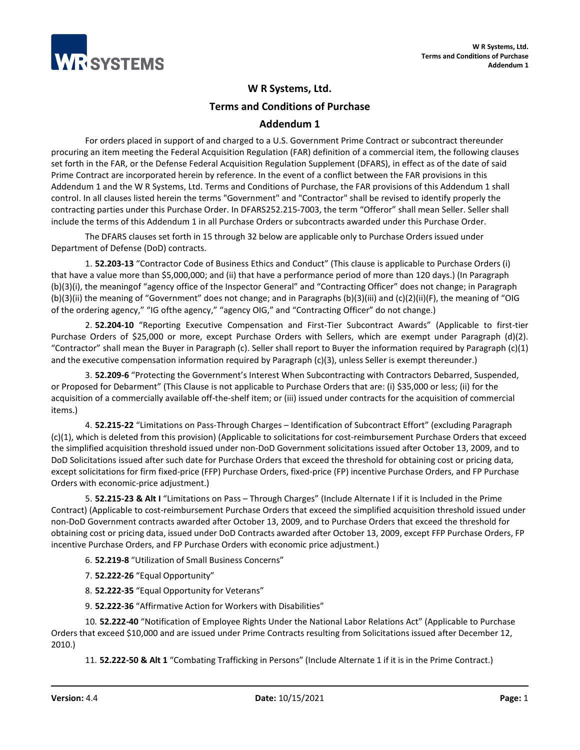

## **W R Systems, Ltd.**

**Terms and Conditions of Purchase**

## **Addendum 1**

For orders placed in support of and charged to a U.S. Government Prime Contract or subcontract thereunder procuring an item meeting the Federal Acquisition Regulation (FAR) definition of a commercial item, the following clauses set forth in the FAR, or the Defense Federal Acquisition Regulation Supplement (DFARS), in effect as of the date of said Prime Contract are incorporated herein by reference. In the event of a conflict between the FAR provisions in this Addendum 1 and the W R Systems, Ltd. Terms and Conditions of Purchase, the FAR provisions of this Addendum 1 shall control. In all clauses listed herein the terms "Government" and "Contractor" shall be revised to identify properly the contracting parties under this Purchase Order. In DFARS252.215-7003, the term "Offeror" shall mean Seller. Seller shall include the terms of this Addendum 1 in all Purchase Orders or subcontracts awarded under this Purchase Order.

The DFARS clauses set forth in 15 through 32 below are applicable only to Purchase Orders issued under Department of Defense (DoD) contracts.

1. **52.203-13** "Contractor Code of Business Ethics and Conduct" (This clause is applicable to Purchase Orders (i) that have a value more than \$5,000,000; and (ii) that have a performance period of more than 120 days.) (In Paragraph (b)(3)(i), the meaningof "agency office of the Inspector General" and "Contracting Officer" does not change; in Paragraph (b)(3)(ii) the meaning of "Government" does not change; and in Paragraphs (b)(3)(iii) and (c)(2)(ii)(F), the meaning of "OIG of the ordering agency," "IG ofthe agency," "agency OIG," and "Contracting Officer" do not change.)

2. **52.204-10** "Reporting Executive Compensation and First-Tier Subcontract Awards" (Applicable to first-tier Purchase Orders of \$25,000 or more, except Purchase Orders with Sellers, which are exempt under Paragraph (d)(2). "Contractor" shall mean the Buyer in Paragraph (c). Seller shall report to Buyer the information required by Paragraph (c)(1) and the executive compensation information required by Paragraph (c)(3), unless Seller is exempt thereunder.)

3. **52.209-6** "Protecting the Government's Interest When Subcontracting with Contractors Debarred, Suspended, or Proposed for Debarment" (This Clause is not applicable to Purchase Orders that are: (i) \$35,000 or less; (ii) for the acquisition of a commercially available off-the-shelf item; or (iii) issued under contracts for the acquisition of commercial items.)

4. **52.215-22** "Limitations on Pass-Through Charges – Identification of Subcontract Effort" (excluding Paragraph (c)(1), which is deleted from this provision) (Applicable to solicitations for cost-reimbursement Purchase Orders that exceed the simplified acquisition threshold issued under non-DoD Government solicitations issued after October 13, 2009, and to DoD Solicitations issued after such date for Purchase Orders that exceed the threshold for obtaining cost or pricing data, except solicitations for firm fixed-price (FFP) Purchase Orders, fixed-price (FP) incentive Purchase Orders, and FP Purchase Orders with economic-price adjustment.)

5. **52.215-23 & Alt I** "Limitations on Pass – Through Charges" (Include Alternate I if it is Included in the Prime Contract) (Applicable to cost-reimbursement Purchase Orders that exceed the simplified acquisition threshold issued under non-DoD Government contracts awarded after October 13, 2009, and to Purchase Orders that exceed the threshold for obtaining cost or pricing data, issued under DoD Contracts awarded after October 13, 2009, except FFP Purchase Orders, FP incentive Purchase Orders, and FP Purchase Orders with economic price adjustment.)

- 6. **52.219-8** "Utilization of Small Business Concerns"
- 7. **52.222-26** "Equal Opportunity"
- 8. **52.222-35** "Equal Opportunity for Veterans"
- 9. **52.222-36** "Affirmative Action for Workers with Disabilities"

10. **52.222-40** "Notification of Employee Rights Under the National Labor Relations Act" (Applicable to Purchase Orders that exceed \$10,000 and are issued under Prime Contracts resulting from Solicitations issued after December 12, 2010.)

11. **52.222-50 & Alt 1** "Combating Trafficking in Persons" (Include Alternate 1 if it is in the Prime Contract.)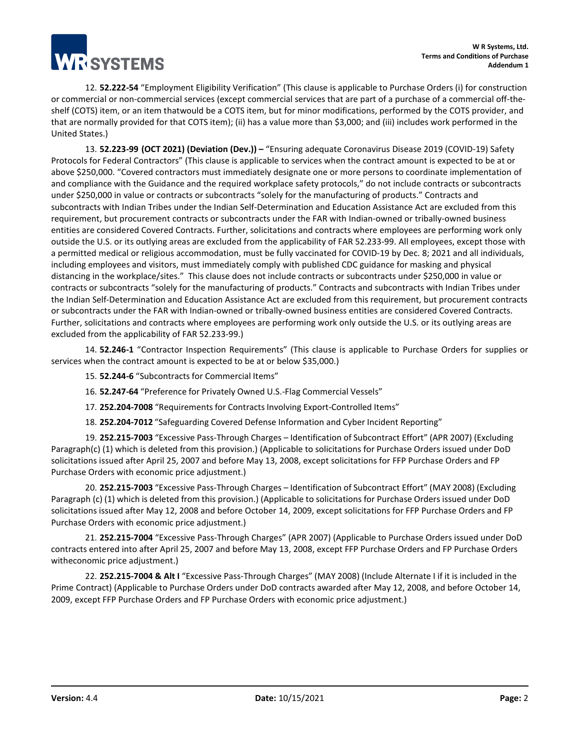**TESYSTEMS** 

12. **52.222-54** "Employment Eligibility Verification" (This clause is applicable to Purchase Orders (i) for construction or commercial or non-commercial services (except commercial services that are part of a purchase of a commercial off-theshelf (COTS) item, or an item thatwould be a COTS item, but for minor modifications, performed by the COTS provider, and that are normally provided for that COTS item); (ii) has a value more than \$3,000; and (iii) includes work performed in the United States.)

13. **52.223-99 (OCT 2021) (Deviation (Dev.)) –** "Ensuring adequate Coronavirus Disease 2019 (COVID-19) Safety Protocols for Federal Contractors" (This clause is applicable to services when the contract amount is expected to be at or above \$250,000. "Covered contractors must immediately designate one or more persons to coordinate implementation of and compliance with the Guidance and the required workplace safety protocols," do not include contracts or subcontracts under \$250,000 in value or contracts or subcontracts "solely for the manufacturing of products." Contracts and subcontracts with Indian Tribes under the Indian Self-Determination and Education Assistance Act are excluded from this requirement, but procurement contracts or subcontracts under the FAR with Indian-owned or tribally-owned business entities are considered Covered Contracts. Further, solicitations and contracts where employees are performing work only outside the U.S. or its outlying areas are excluded from the applicability of FAR 52.233-99. All employees, except those with a permitted medical or religious accommodation, must be fully vaccinated for COVID-19 by Dec. 8; 2021 and all individuals, including employees and visitors, must immediately comply with published CDC guidance for masking and physical distancing in the workplace/sites." This clause does not include contracts or subcontracts under \$250,000 in value or contracts or subcontracts "solely for the manufacturing of products." Contracts and subcontracts with Indian Tribes under the Indian Self-Determination and Education Assistance Act are excluded from this requirement, but procurement contracts or subcontracts under the FAR with Indian-owned or tribally-owned business entities are considered Covered Contracts. Further, solicitations and contracts where employees are performing work only outside the U.S. or its outlying areas are excluded from the applicability of FAR 52.233-99.)

14. **52.246-1** "Contractor Inspection Requirements" (This clause is applicable to Purchase Orders for supplies or services when the contract amount is expected to be at or below \$35,000.)

15. **52.244-6** "Subcontracts for Commercial Items"

16. **52.247-64** "Preference for Privately Owned U.S.-Flag Commercial Vessels"

17. **252.204-7008** "Requirements for Contracts Involving Export-Controlled Items"

18. **252.204-7012** "Safeguarding Covered Defense Information and Cyber Incident Reporting"

19. **252.215-7003** "Excessive Pass-Through Charges – Identification of Subcontract Effort" (APR 2007) (Excluding Paragraph(c) (1) which is deleted from this provision.) (Applicable to solicitations for Purchase Orders issued under DoD solicitations issued after April 25, 2007 and before May 13, 2008, except solicitations for FFP Purchase Orders and FP Purchase Orders with economic price adjustment.)

20. **252.215-7003** "Excessive Pass-Through Charges – Identification of Subcontract Effort" (MAY 2008) (Excluding Paragraph (c) (1) which is deleted from this provision.) (Applicable to solicitations for Purchase Orders issued under DoD solicitations issued after May 12, 2008 and before October 14, 2009, except solicitations for FFP Purchase Orders and FP Purchase Orders with economic price adjustment.)

21. **252.215-7004** "Excessive Pass-Through Charges" (APR 2007) (Applicable to Purchase Orders issued under DoD contracts entered into after April 25, 2007 and before May 13, 2008, except FFP Purchase Orders and FP Purchase Orders witheconomic price adjustment.)

22. **252.215-7004 & Alt I** "Excessive Pass-Through Charges" (MAY 2008) (Include Alternate I if it is included in the Prime Contract) (Applicable to Purchase Orders under DoD contracts awarded after May 12, 2008, and before October 14, 2009, except FFP Purchase Orders and FP Purchase Orders with economic price adjustment.)